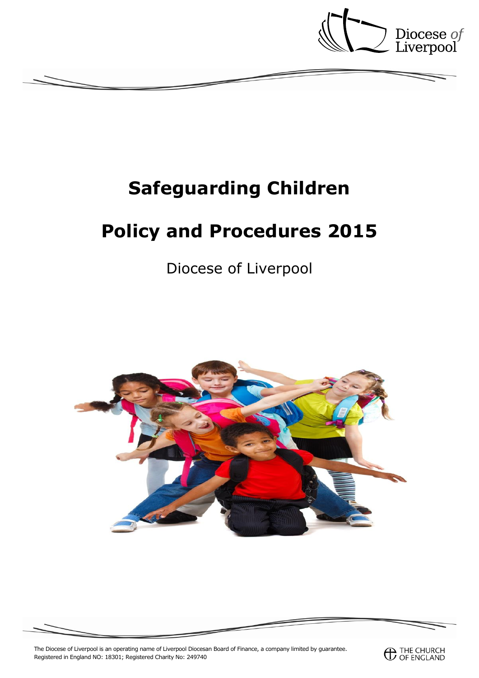

# **Safeguarding Children**

# **Policy and Procedures 2015**

Diocese of Liverpool





The Diocese of Liverpool is an operating name of Liverpool Diocesan Board of Finance, a company limited by guarantee. Registered in England NO: 18301; Registered Charity No: 249740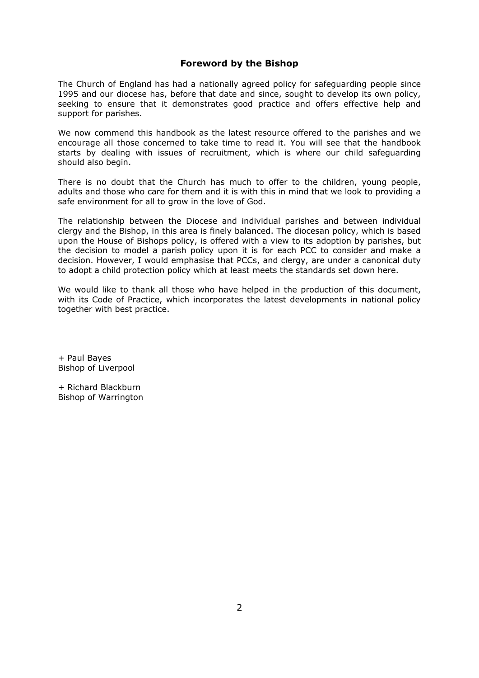# **Foreword by the Bishop**

The Church of England has had a nationally agreed policy for safeguarding people since 1995 and our diocese has, before that date and since, sought to develop its own policy, seeking to ensure that it demonstrates good practice and offers effective help and support for parishes.

We now commend this handbook as the latest resource offered to the parishes and we encourage all those concerned to take time to read it. You will see that the handbook starts by dealing with issues of recruitment, which is where our child safeguarding should also begin.

There is no doubt that the Church has much to offer to the children, young people, adults and those who care for them and it is with this in mind that we look to providing a safe environment for all to grow in the love of God.

The relationship between the Diocese and individual parishes and between individual clergy and the Bishop, in this area is finely balanced. The diocesan policy, which is based upon the House of Bishops policy, is offered with a view to its adoption by parishes, but the decision to model a parish policy upon it is for each PCC to consider and make a decision. However, I would emphasise that PCCs, and clergy, are under a canonical duty to adopt a child protection policy which at least meets the standards set down here.

We would like to thank all those who have helped in the production of this document, with its Code of Practice, which incorporates the latest developments in national policy together with best practice.

+ Paul Bayes Bishop of Liverpool

+ Richard Blackburn Bishop of Warrington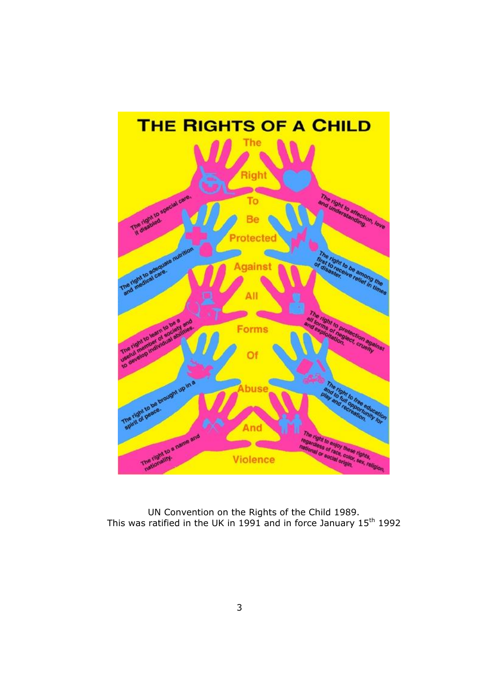

UN Convention on the Rights of the Child 1989. This was ratified in the UK in 1991 and in force January  $15<sup>th</sup>$  1992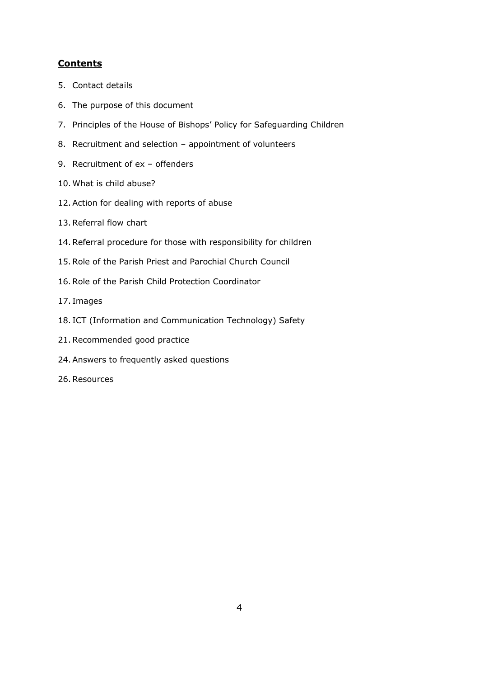# **Contents**

- 5. Contact details
- 6. The purpose of this document
- 7. Principles of the House of Bishops' Policy for Safeguarding Children
- 8. Recruitment and selection appointment of volunteers
- 9. Recruitment of ex offenders
- 10.What is child abuse?
- 12.Action for dealing with reports of abuse
- 13.Referral flow chart
- 14.Referral procedure for those with responsibility for children
- 15.Role of the Parish Priest and Parochial Church Council
- 16.Role of the Parish Child Protection Coordinator
- 17. Images
- 18. ICT (Information and Communication Technology) Safety
- 21.Recommended good practice
- 24.Answers to frequently asked questions
- 26.Resources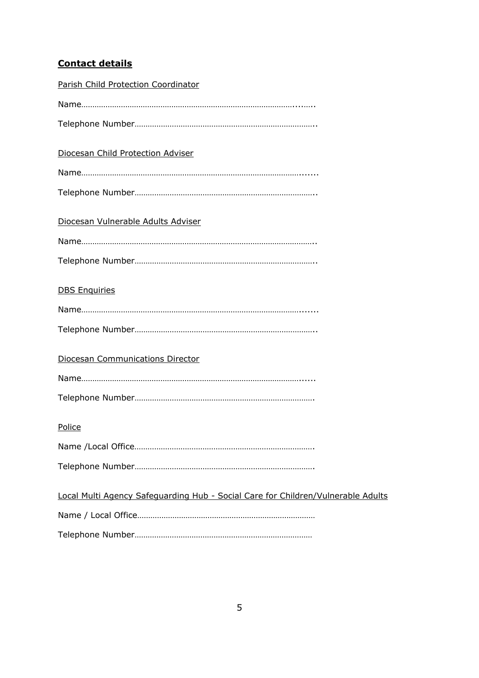# **Contact details**

| Parish Child Protection Coordinator                                              |
|----------------------------------------------------------------------------------|
|                                                                                  |
|                                                                                  |
| Diocesan Child Protection Adviser                                                |
|                                                                                  |
|                                                                                  |
| Diocesan Vulnerable Adults Adviser                                               |
|                                                                                  |
|                                                                                  |
| <b>DBS Enquiries</b>                                                             |
|                                                                                  |
|                                                                                  |
| <b>Diocesan Communications Director</b>                                          |
|                                                                                  |
|                                                                                  |
| Police                                                                           |
|                                                                                  |
|                                                                                  |
| Local Multi Agency Safeguarding Hub - Social Care for Children/Vulnerable Adults |
|                                                                                  |
|                                                                                  |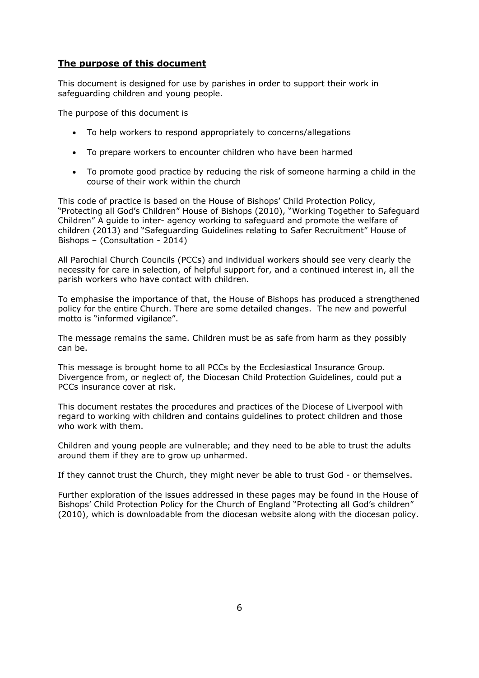# **The purpose of this document**

This document is designed for use by parishes in order to support their work in safeguarding children and young people.

The purpose of this document is

- To help workers to respond appropriately to concerns/allegations
- To prepare workers to encounter children who have been harmed
- To promote good practice by reducing the risk of someone harming a child in the course of their work within the church

This code of practice is based on the House of Bishops' Child Protection Policy, "Protecting all God's Children" House of Bishops (2010), "Working Together to Safeguard Children" A guide to inter- agency working to safeguard and promote the welfare of children (2013) and "Safeguarding Guidelines relating to Safer Recruitment" House of Bishops – (Consultation - 2014)

All Parochial Church Councils (PCCs) and individual workers should see very clearly the necessity for care in selection, of helpful support for, and a continued interest in, all the parish workers who have contact with children.

To emphasise the importance of that, the House of Bishops has produced a strengthened policy for the entire Church. There are some detailed changes. The new and powerful motto is "informed vigilance".

The message remains the same. Children must be as safe from harm as they possibly can be.

This message is brought home to all PCCs by the Ecclesiastical Insurance Group. Divergence from, or neglect of, the Diocesan Child Protection Guidelines, could put a PCCs insurance cover at risk.

This document restates the procedures and practices of the Diocese of Liverpool with regard to working with children and contains guidelines to protect children and those who work with them.

Children and young people are vulnerable; and they need to be able to trust the adults around them if they are to grow up unharmed.

If they cannot trust the Church, they might never be able to trust God - or themselves.

Further exploration of the issues addressed in these pages may be found in the House of Bishops' Child Protection Policy for the Church of England "Protecting all God's children" (2010), which is downloadable from the diocesan website along with the diocesan policy.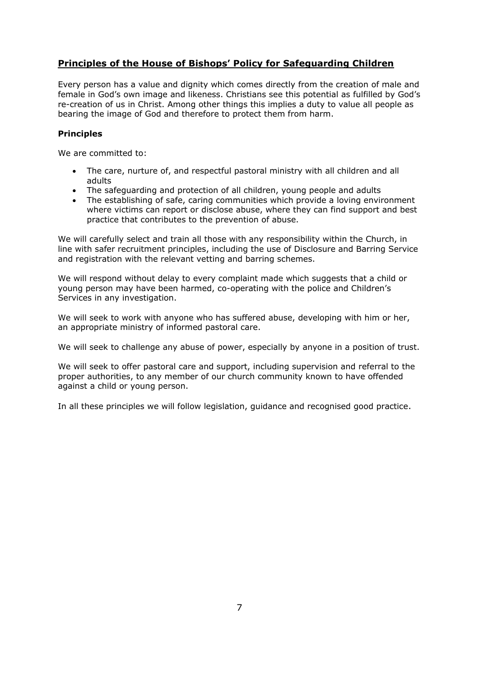# **Principles of the House of Bishops' Policy for Safeguarding Children**

Every person has a value and dignity which comes directly from the creation of male and female in God's own image and likeness. Christians see this potential as fulfilled by God's re-creation of us in Christ. Among other things this implies a duty to value all people as bearing the image of God and therefore to protect them from harm.

## **Principles**

We are committed to:

- The care, nurture of, and respectful pastoral ministry with all children and all adults
- The safeguarding and protection of all children, young people and adults
- The establishing of safe, caring communities which provide a loving environment where victims can report or disclose abuse, where they can find support and best practice that contributes to the prevention of abuse.

We will carefully select and train all those with any responsibility within the Church, in line with safer recruitment principles, including the use of Disclosure and Barring Service and registration with the relevant vetting and barring schemes.

We will respond without delay to every complaint made which suggests that a child or young person may have been harmed, co-operating with the police and Children's Services in any investigation.

We will seek to work with anyone who has suffered abuse, developing with him or her, an appropriate ministry of informed pastoral care.

We will seek to challenge any abuse of power, especially by anyone in a position of trust.

We will seek to offer pastoral care and support, including supervision and referral to the proper authorities, to any member of our church community known to have offended against a child or young person.

In all these principles we will follow legislation, guidance and recognised good practice.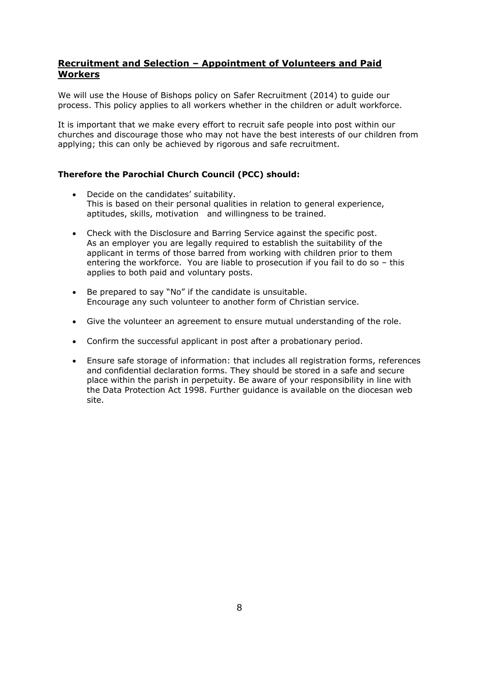# **Recruitment and Selection – Appointment of Volunteers and Paid Workers**

We will use the House of Bishops policy on Safer Recruitment (2014) to guide our process. This policy applies to all workers whether in the children or adult workforce.

It is important that we make every effort to recruit safe people into post within our churches and discourage those who may not have the best interests of our children from applying; this can only be achieved by rigorous and safe recruitment.

# **Therefore the Parochial Church Council (PCC) should:**

- Decide on the candidates' suitability. This is based on their personal qualities in relation to general experience, aptitudes, skills, motivation and willingness to be trained.
- Check with the Disclosure and Barring Service against the specific post. As an employer you are legally required to establish the suitability of the applicant in terms of those barred from working with children prior to them entering the workforce. You are liable to prosecution if you fail to do so – this applies to both paid and voluntary posts.
- Be prepared to say "No" if the candidate is unsuitable. Encourage any such volunteer to another form of Christian service.
- Give the volunteer an agreement to ensure mutual understanding of the role.
- Confirm the successful applicant in post after a probationary period.
- Ensure safe storage of information: that includes all registration forms, references and confidential declaration forms. They should be stored in a safe and secure place within the parish in perpetuity. Be aware of your responsibility in line with the Data Protection Act 1998. Further guidance is available on the diocesan web site.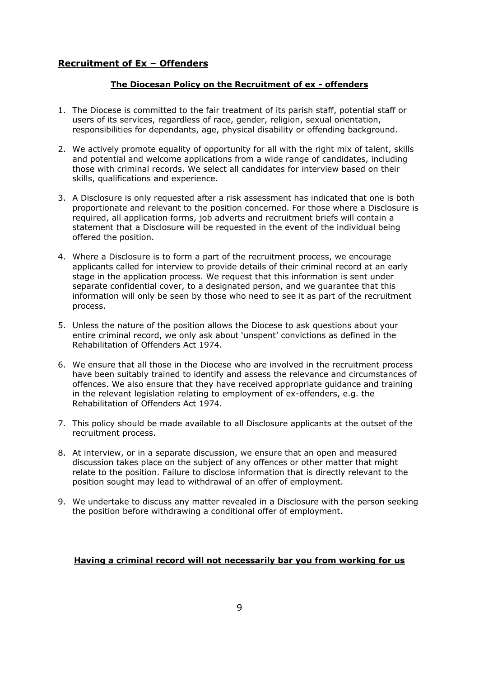# **Recruitment of Ex – Offenders**

## **The Diocesan Policy on the Recruitment of ex - offenders**

- 1. The Diocese is committed to the fair treatment of its parish staff, potential staff or users of its services, regardless of race, gender, religion, sexual orientation, responsibilities for dependants, age, physical disability or offending background.
- 2. We actively promote equality of opportunity for all with the right mix of talent, skills and potential and welcome applications from a wide range of candidates, including those with criminal records. We select all candidates for interview based on their skills, qualifications and experience.
- 3. A Disclosure is only requested after a risk assessment has indicated that one is both proportionate and relevant to the position concerned. For those where a Disclosure is required, all application forms, job adverts and recruitment briefs will contain a statement that a Disclosure will be requested in the event of the individual being offered the position.
- 4. Where a Disclosure is to form a part of the recruitment process, we encourage applicants called for interview to provide details of their criminal record at an early stage in the application process. We request that this information is sent under separate confidential cover, to a designated person, and we guarantee that this information will only be seen by those who need to see it as part of the recruitment process.
- 5. Unless the nature of the position allows the Diocese to ask questions about your entire criminal record, we only ask about 'unspent' convictions as defined in the Rehabilitation of Offenders Act 1974.
- 6. We ensure that all those in the Diocese who are involved in the recruitment process have been suitably trained to identify and assess the relevance and circumstances of offences. We also ensure that they have received appropriate guidance and training in the relevant legislation relating to employment of ex-offenders, e.g. the Rehabilitation of Offenders Act 1974.
- 7. This policy should be made available to all Disclosure applicants at the outset of the recruitment process.
- 8. At interview, or in a separate discussion, we ensure that an open and measured discussion takes place on the subject of any offences or other matter that might relate to the position. Failure to disclose information that is directly relevant to the position sought may lead to withdrawal of an offer of employment.
- 9. We undertake to discuss any matter revealed in a Disclosure with the person seeking the position before withdrawing a conditional offer of employment.

## **Having a criminal record will not necessarily bar you from working for us**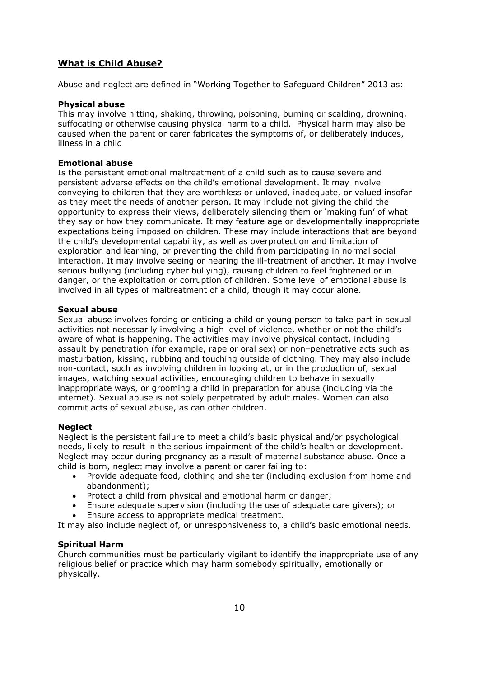# **What is Child Abuse?**

Abuse and neglect are defined in "Working Together to Safeguard Children" 2013 as:

### **Physical abuse**

This may involve hitting, shaking, throwing, poisoning, burning or scalding, drowning, suffocating or otherwise causing physical harm to a child. Physical harm may also be caused when the parent or carer fabricates the symptoms of, or deliberately induces, illness in a child

#### **Emotional abuse**

Is the persistent emotional maltreatment of a child such as to cause severe and persistent adverse effects on the child's emotional development. It may involve conveying to children that they are worthless or unloved, inadequate, or valued insofar as they meet the needs of another person. It may include not giving the child the opportunity to express their views, deliberately silencing them or 'making fun' of what they say or how they communicate. It may feature age or developmentally inappropriate expectations being imposed on children. These may include interactions that are beyond the child's developmental capability, as well as overprotection and limitation of exploration and learning, or preventing the child from participating in normal social interaction. It may involve seeing or hearing the ill-treatment of another. It may involve serious bullying (including cyber bullying), causing children to feel frightened or in danger, or the exploitation or corruption of children. Some level of emotional abuse is involved in all types of maltreatment of a child, though it may occur alone.

#### **Sexual abuse**

Sexual abuse involves forcing or enticing a child or young person to take part in sexual activities not necessarily involving a high level of violence, whether or not the child's aware of what is happening. The activities may involve physical contact, including assault by penetration (for example, rape or oral sex) or non–penetrative acts such as masturbation, kissing, rubbing and touching outside of clothing. They may also include non-contact, such as involving children in looking at, or in the production of, sexual images, watching sexual activities, encouraging children to behave in sexually inappropriate ways, or grooming a child in preparation for abuse (including via the internet). Sexual abuse is not solely perpetrated by adult males. Women can also commit acts of sexual abuse, as can other children.

#### **Neglect**

Neglect is the persistent failure to meet a child's basic physical and/or psychological needs, likely to result in the serious impairment of the child's health or development. Neglect may occur during pregnancy as a result of maternal substance abuse. Once a child is born, neglect may involve a parent or carer failing to:

- Provide adequate food, clothing and shelter (including exclusion from home and abandonment);
- Protect a child from physical and emotional harm or danger;
- Ensure adequate supervision (including the use of adequate care givers); or
- Ensure access to appropriate medical treatment.

It may also include neglect of, or unresponsiveness to, a child's basic emotional needs.

## **Spiritual Harm**

Church communities must be particularly vigilant to identify the inappropriate use of any religious belief or practice which may harm somebody spiritually, emotionally or physically.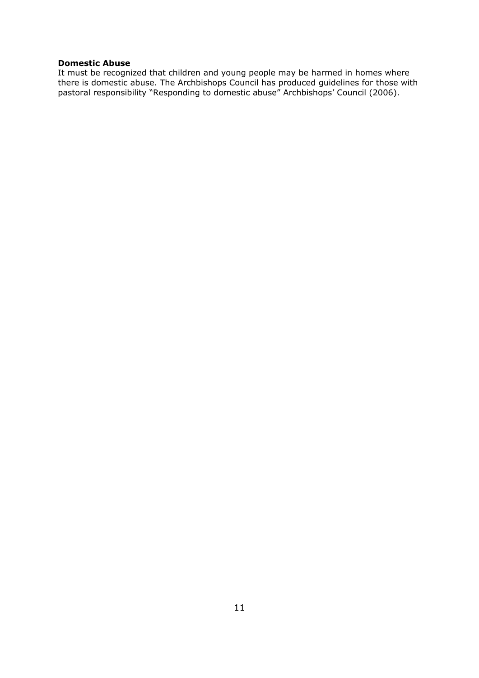## **Domestic Abuse**

It must be recognized that children and young people may be harmed in homes where there is domestic abuse. The Archbishops Council has produced guidelines for those with pastoral responsibility "Responding to domestic abuse" Archbishops' Council (2006).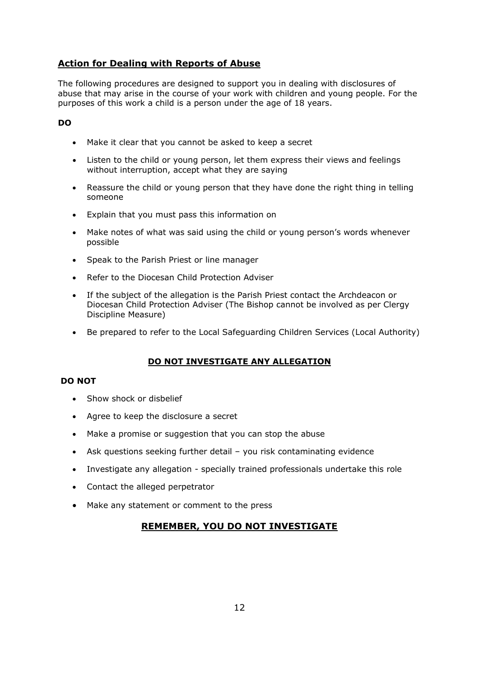# **Action for Dealing with Reports of Abuse**

The following procedures are designed to support you in dealing with disclosures of abuse that may arise in the course of your work with children and young people. For the purposes of this work a child is a person under the age of 18 years.

# **DO**

- Make it clear that you cannot be asked to keep a secret
- Listen to the child or young person, let them express their views and feelings without interruption, accept what they are saying
- Reassure the child or young person that they have done the right thing in telling someone
- Explain that you must pass this information on
- Make notes of what was said using the child or young person's words whenever possible
- Speak to the Parish Priest or line manager
- Refer to the Diocesan Child Protection Adviser
- If the subject of the allegation is the Parish Priest contact the Archdeacon or Diocesan Child Protection Adviser (The Bishop cannot be involved as per Clergy Discipline Measure)
- Be prepared to refer to the Local Safeguarding Children Services (Local Authority)

# **DO NOT INVESTIGATE ANY ALLEGATION**

## **DO NOT**

- **Show shock or dishelief**
- Agree to keep the disclosure a secret
- Make a promise or suggestion that you can stop the abuse
- Ask questions seeking further detail you risk contaminating evidence
- Investigate any allegation specially trained professionals undertake this role
- Contact the alleged perpetrator
- Make any statement or comment to the press

# **REMEMBER, YOU DO NOT INVESTIGATE**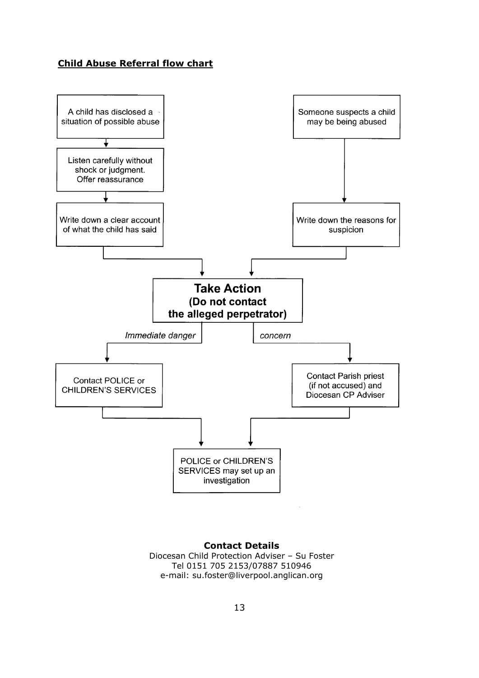# **Child Abuse Referral flow chart**



#### **Contact Details** Diocesan Child Protection Adviser – Su Foster

Tel 0151 705 2153/07887 510946 e-mail: su.foster@liverpool.anglican.org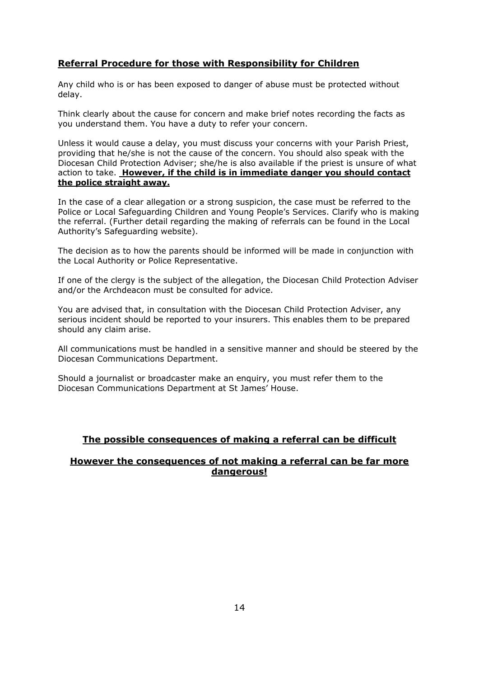# **Referral Procedure for those with Responsibility for Children**

Any child who is or has been exposed to danger of abuse must be protected without delay.

Think clearly about the cause for concern and make brief notes recording the facts as you understand them. You have a duty to refer your concern.

Unless it would cause a delay, you must discuss your concerns with your Parish Priest, providing that he/she is not the cause of the concern. You should also speak with the Diocesan Child Protection Adviser; she/he is also available if the priest is unsure of what action to take. **However, if the child is in immediate danger you should contact the police straight away.**

In the case of a clear allegation or a strong suspicion, the case must be referred to the Police or Local Safeguarding Children and Young People's Services. Clarify who is making the referral. (Further detail regarding the making of referrals can be found in the Local Authority's Safeguarding website).

The decision as to how the parents should be informed will be made in conjunction with the Local Authority or Police Representative.

If one of the clergy is the subject of the allegation, the Diocesan Child Protection Adviser and/or the Archdeacon must be consulted for advice.

You are advised that, in consultation with the Diocesan Child Protection Adviser, any serious incident should be reported to your insurers. This enables them to be prepared should any claim arise.

All communications must be handled in a sensitive manner and should be steered by the Diocesan Communications Department.

Should a journalist or broadcaster make an enquiry, you must refer them to the Diocesan Communications Department at St James' House.

# **The possible consequences of making a referral can be difficult**

# **However the consequences of not making a referral can be far more dangerous!**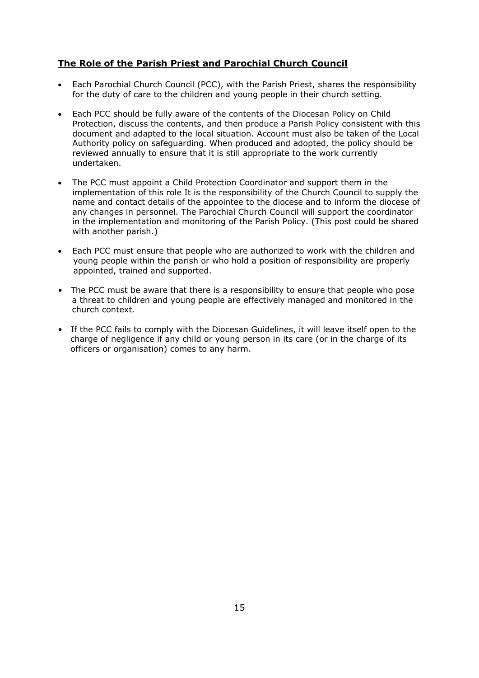# **The Role of the Parish Priest and Parochial Church Council**

- Each Parochial Church Council (PCC), with the Parish Priest, shares the responsibility for the duty of care to the children and young people in their church setting.
- Each PCC should be fully aware of the contents of the Diocesan Policy on Child Protection, discuss the contents, and then produce a Parish Policy consistent with this document and adapted to the local situation. Account must also be taken of the Local Authority policy on safeguarding. When produced and adopted, the policy should be reviewed annually to ensure that it is still appropriate to the work currently undertaken.
- The PCC must appoint a Child Protection Coordinator and support them in the implementation of this role It is the responsibility of the Church Council to supply the name and contact details of the appointee to the diocese and to inform the diocese of any changes in personnel. The Parochial Church Council will support the coordinator in the implementation and monitoring of the Parish Policy. (This post could be shared with another parish.)
- Each PCC must ensure that people who are authorized to work with the children and young people within the parish or who hold a position of responsibility are properly appointed, trained and supported.
- The PCC must be aware that there is a responsibility to ensure that people who pose a threat to children and young people are effectively managed and monitored in the church context.
- If the PCC fails to comply with the Diocesan Guidelines, it will leave itself open to the charge of negligence if any child or young person in its care (or in the charge of its officers or organisation) comes to any harm.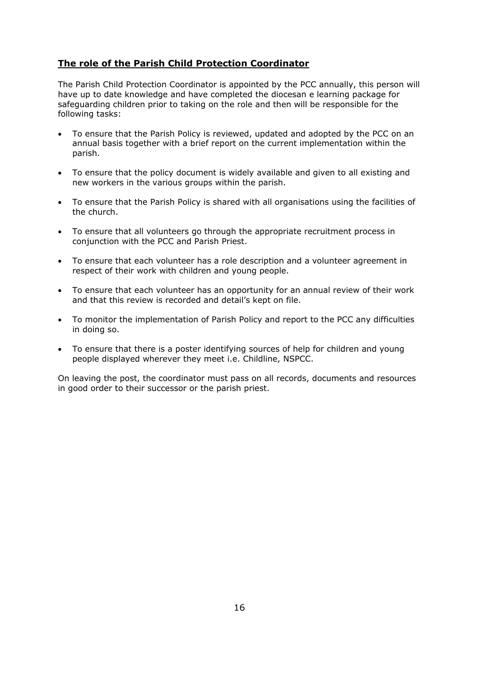# **The role of the Parish Child Protection Coordinator**

The Parish Child Protection Coordinator is appointed by the PCC annually, this person will have up to date knowledge and have completed the diocesan e learning package for safeguarding children prior to taking on the role and then will be responsible for the following tasks:

- To ensure that the Parish Policy is reviewed, updated and adopted by the PCC on an annual basis together with a brief report on the current implementation within the parish.
- To ensure that the policy document is widely available and given to all existing and new workers in the various groups within the parish.
- To ensure that the Parish Policy is shared with all organisations using the facilities of the church.
- To ensure that all volunteers go through the appropriate recruitment process in conjunction with the PCC and Parish Priest.
- To ensure that each volunteer has a role description and a volunteer agreement in respect of their work with children and young people.
- To ensure that each volunteer has an opportunity for an annual review of their work and that this review is recorded and detail's kept on file.
- To monitor the implementation of Parish Policy and report to the PCC any difficulties in doing so.
- To ensure that there is a poster identifying sources of help for children and young people displayed wherever they meet i.e. Childline, NSPCC.

On leaving the post, the coordinator must pass on all records, documents and resources in good order to their successor or the parish priest.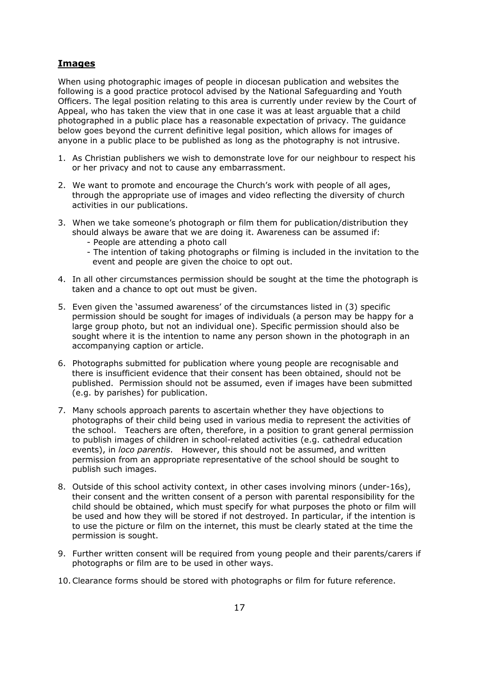# **Images**

When using photographic images of people in diocesan publication and websites the following is a good practice protocol advised by the National Safeguarding and Youth Officers. The legal position relating to this area is currently under review by the Court of Appeal, who has taken the view that in one case it was at least arguable that a child photographed in a public place has a reasonable expectation of privacy. The guidance below goes beyond the current definitive legal position, which allows for images of anyone in a public place to be published as long as the photography is not intrusive.

- 1. As Christian publishers we wish to demonstrate love for our neighbour to respect his or her privacy and not to cause any embarrassment.
- 2. We want to promote and encourage the Church's work with people of all ages, through the appropriate use of images and video reflecting the diversity of church activities in our publications.
- 3. When we take someone's photograph or film them for publication/distribution they should always be aware that we are doing it. Awareness can be assumed if:
	- People are attending a photo call
	- The intention of taking photographs or filming is included in the invitation to the event and people are given the choice to opt out.
- 4. In all other circumstances permission should be sought at the time the photograph is taken and a chance to opt out must be given.
- 5. Even given the 'assumed awareness' of the circumstances listed in (3) specific permission should be sought for images of individuals (a person may be happy for a large group photo, but not an individual one). Specific permission should also be sought where it is the intention to name any person shown in the photograph in an accompanying caption or article.
- 6. Photographs submitted for publication where young people are recognisable and there is insufficient evidence that their consent has been obtained, should not be published. Permission should not be assumed, even if images have been submitted (e.g. by parishes) for publication.
- 7. Many schools approach parents to ascertain whether they have objections to photographs of their child being used in various media to represent the activities of the school. Teachers are often, therefore, in a position to grant general permission to publish images of children in school-related activities (e.g. cathedral education events), in *loco parentis*. However, this should not be assumed, and written permission from an appropriate representative of the school should be sought to publish such images.
- 8. Outside of this school activity context, in other cases involving minors (under-16s), their consent and the written consent of a person with parental responsibility for the child should be obtained, which must specify for what purposes the photo or film will be used and how they will be stored if not destroyed. In particular, if the intention is to use the picture or film on the internet, this must be clearly stated at the time the permission is sought.
- 9. Further written consent will be required from young people and their parents/carers if photographs or film are to be used in other ways.
- 10.Clearance forms should be stored with photographs or film for future reference.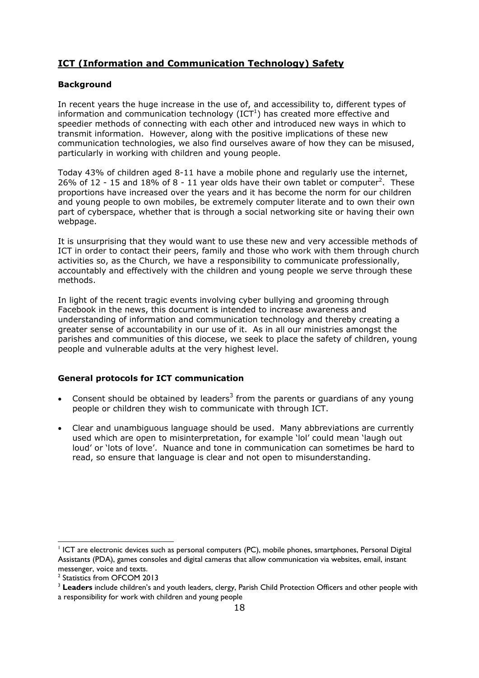# **ICT (Information and Communication Technology) Safety**

## **Background**

In recent years the huge increase in the use of, and accessibility to, different types of information and communication technology (ICT<sup>1</sup>) has created more effective and speedier methods of connecting with each other and introduced new ways in which to transmit information. However, along with the positive implications of these new communication technologies, we also find ourselves aware of how they can be misused, particularly in working with children and young people.

Today 43% of children aged 8-11 have a mobile phone and regularly use the internet, 26% of 12 - 15 and 18% of 8 - 11 year olds have their own tablet or computer<sup>2</sup>. These proportions have increased over the years and it has become the norm for our children and young people to own mobiles, be extremely computer literate and to own their own part of cyberspace, whether that is through a social networking site or having their own webpage.

It is unsurprising that they would want to use these new and very accessible methods of ICT in order to contact their peers, family and those who work with them through church activities so, as the Church, we have a responsibility to communicate professionally, accountably and effectively with the children and young people we serve through these methods.

In light of the recent tragic events involving cyber bullying and grooming through Facebook in the news, this document is intended to increase awareness and understanding of information and communication technology and thereby creating a greater sense of accountability in our use of it. As in all our ministries amongst the parishes and communities of this diocese, we seek to place the safety of children, young people and vulnerable adults at the very highest level.

## **General protocols for ICT communication**

- Consent should be obtained by leaders<sup>3</sup> from the parents or guardians of any young people or children they wish to communicate with through ICT.
- Clear and unambiguous language should be used. Many abbreviations are currently used which are open to misinterpretation, for example 'lol' could mean 'laugh out loud' or 'lots of love'. Nuance and tone in communication can sometimes be hard to read, so ensure that language is clear and not open to misunderstanding.

1

<sup>&</sup>lt;sup>1</sup> ICT are electronic devices such as personal computers (PC), mobile phones, smartphones, Personal Digital Assistants (PDA), games consoles and digital cameras that allow communication via websites, email, instant messenger, voice and texts.

<sup>&</sup>lt;sup>2</sup> Statistics from OFCOM 2013

<sup>3</sup> **Leaders** include children's and youth leaders, clergy, Parish Child Protection Officers and other people with

a responsibility for work with children and young people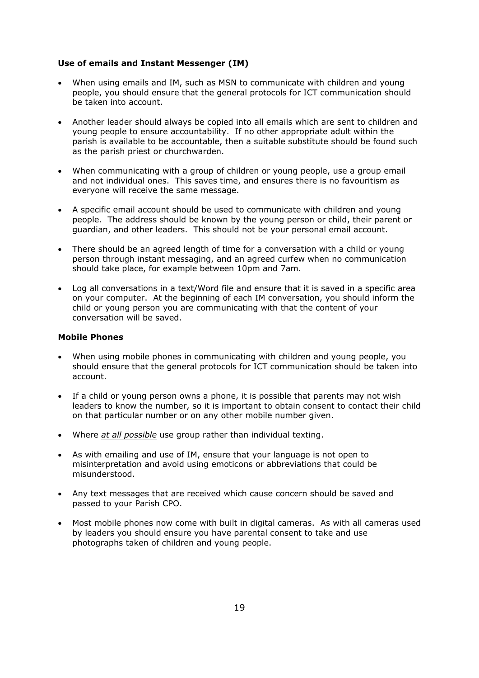#### **Use of emails and Instant Messenger (IM)**

- When using emails and IM, such as MSN to communicate with children and young people, you should ensure that the general protocols for ICT communication should be taken into account.
- Another leader should always be copied into all emails which are sent to children and young people to ensure accountability. If no other appropriate adult within the parish is available to be accountable, then a suitable substitute should be found such as the parish priest or churchwarden.
- When communicating with a group of children or young people, use a group email and not individual ones. This saves time, and ensures there is no favouritism as everyone will receive the same message.
- A specific email account should be used to communicate with children and young people. The address should be known by the young person or child, their parent or guardian, and other leaders. This should not be your personal email account.
- There should be an agreed length of time for a conversation with a child or young person through instant messaging, and an agreed curfew when no communication should take place, for example between 10pm and 7am.
- Log all conversations in a text/Word file and ensure that it is saved in a specific area on your computer. At the beginning of each IM conversation, you should inform the child or young person you are communicating with that the content of your conversation will be saved.

#### **Mobile Phones**

- When using mobile phones in communicating with children and young people, you should ensure that the general protocols for ICT communication should be taken into account.
- If a child or young person owns a phone, it is possible that parents may not wish leaders to know the number, so it is important to obtain consent to contact their child on that particular number or on any other mobile number given.
- Where *at all possible* use group rather than individual texting.
- As with emailing and use of IM, ensure that your language is not open to misinterpretation and avoid using emoticons or abbreviations that could be misunderstood.
- Any text messages that are received which cause concern should be saved and passed to your Parish CPO.
- Most mobile phones now come with built in digital cameras. As with all cameras used by leaders you should ensure you have parental consent to take and use photographs taken of children and young people.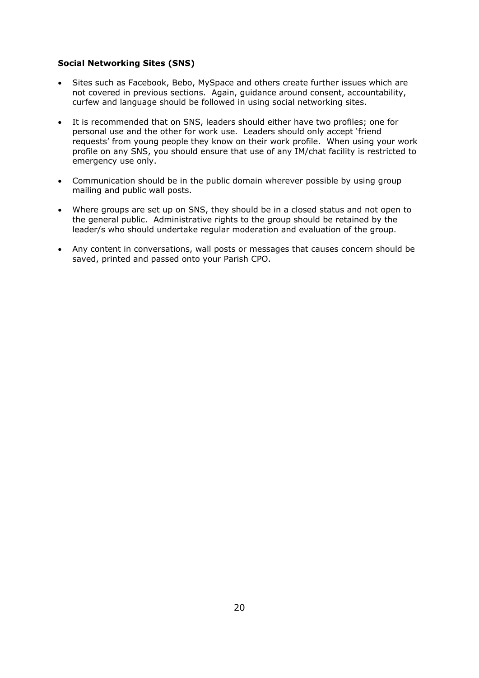## **Social Networking Sites (SNS)**

- Sites such as Facebook, Bebo, MySpace and others create further issues which are not covered in previous sections. Again, guidance around consent, accountability, curfew and language should be followed in using social networking sites.
- It is recommended that on SNS, leaders should either have two profiles; one for personal use and the other for work use. Leaders should only accept 'friend requests' from young people they know on their work profile. When using your work profile on any SNS, you should ensure that use of any IM/chat facility is restricted to emergency use only.
- Communication should be in the public domain wherever possible by using group mailing and public wall posts.
- Where groups are set up on SNS, they should be in a closed status and not open to the general public. Administrative rights to the group should be retained by the leader/s who should undertake regular moderation and evaluation of the group.
- Any content in conversations, wall posts or messages that causes concern should be saved, printed and passed onto your Parish CPO.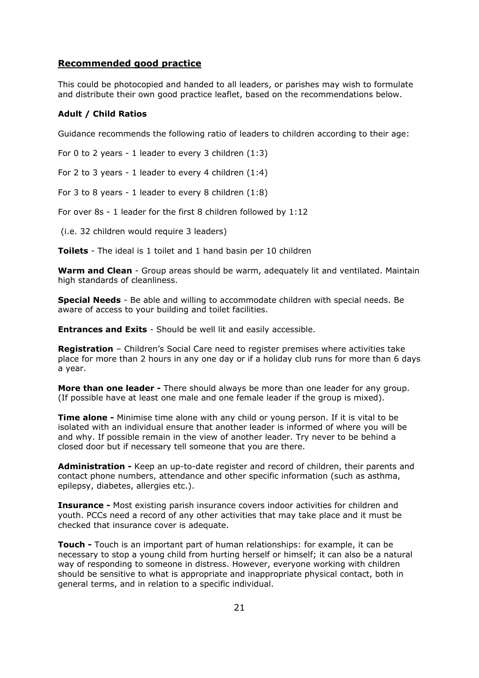### **Recommended good practice**

This could be photocopied and handed to all leaders, or parishes may wish to formulate and distribute their own good practice leaflet, based on the recommendations below.

#### **Adult / Child Ratios**

Guidance recommends the following ratio of leaders to children according to their age:

For 0 to 2 years - 1 leader to every 3 children (1:3)

For 2 to 3 years - 1 leader to every 4 children (1:4)

For 3 to 8 years - 1 leader to every 8 children (1:8)

For over 8s - 1 leader for the first 8 children followed by 1:12

(i.e. 32 children would require 3 leaders)

**Toilets** - The ideal is 1 toilet and 1 hand basin per 10 children

**Warm and Clean** - Group areas should be warm, adequately lit and ventilated. Maintain high standards of cleanliness.

**Special Needs** - Be able and willing to accommodate children with special needs. Be aware of access to your building and toilet facilities.

**Entrances and Exits** - Should be well lit and easily accessible.

**Registration** – Children's Social Care need to register premises where activities take place for more than 2 hours in any one day or if a holiday club runs for more than 6 days a year.

**More than one leader -** There should always be more than one leader for any group. (If possible have at least one male and one female leader if the group is mixed).

**Time alone -** Minimise time alone with any child or young person. If it is vital to be isolated with an individual ensure that another leader is informed of where you will be and why. If possible remain in the view of another leader. Try never to be behind a closed door but if necessary tell someone that you are there.

**Administration -** Keep an up-to-date register and record of children, their parents and contact phone numbers, attendance and other specific information (such as asthma, epilepsy, diabetes, allergies etc.).

**Insurance -** Most existing parish insurance covers indoor activities for children and youth. PCCs need a record of any other activities that may take place and it must be checked that insurance cover is adequate.

**Touch -** Touch is an important part of human relationships: for example, it can be necessary to stop a young child from hurting herself or himself; it can also be a natural way of responding to someone in distress. However, everyone working with children should be sensitive to what is appropriate and inappropriate physical contact, both in general terms, and in relation to a specific individual.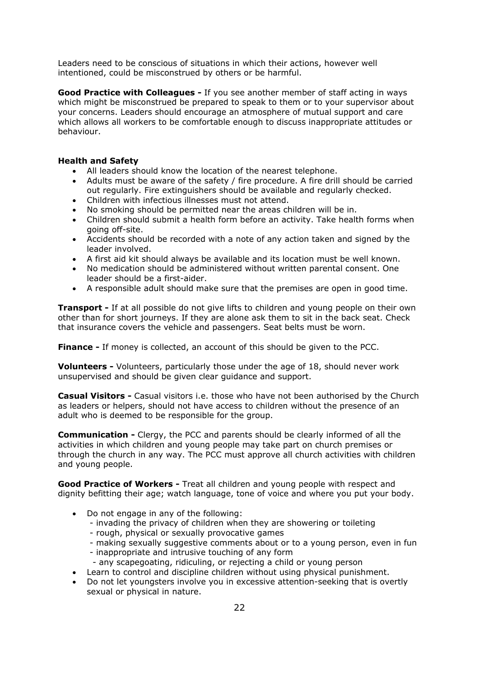Leaders need to be conscious of situations in which their actions, however well intentioned, could be misconstrued by others or be harmful.

**Good Practice with Colleagues -** If you see another member of staff acting in ways which might be misconstrued be prepared to speak to them or to your supervisor about your concerns. Leaders should encourage an atmosphere of mutual support and care which allows all workers to be comfortable enough to discuss inappropriate attitudes or behaviour.

## **Health and Safety**

- All leaders should know the location of the nearest telephone.
- Adults must be aware of the safety / fire procedure. A fire drill should be carried out regularly. Fire extinguishers should be available and regularly checked.
- Children with infectious illnesses must not attend.
- No smoking should be permitted near the areas children will be in.
- Children should submit a health form before an activity. Take health forms when going off-site.
- Accidents should be recorded with a note of any action taken and signed by the leader involved.
- A first aid kit should always be available and its location must be well known.
- No medication should be administered without written parental consent. One leader should be a first-aider.
- A responsible adult should make sure that the premises are open in good time.

**Transport -** If at all possible do not give lifts to children and young people on their own other than for short journeys. If they are alone ask them to sit in the back seat. Check that insurance covers the vehicle and passengers. Seat belts must be worn.

**Finance -** If money is collected, an account of this should be given to the PCC.

**Volunteers -** Volunteers, particularly those under the age of 18, should never work unsupervised and should be given clear guidance and support.

**Casual Visitors -** Casual visitors i.e. those who have not been authorised by the Church as leaders or helpers, should not have access to children without the presence of an adult who is deemed to be responsible for the group.

**Communication -** Clergy, the PCC and parents should be clearly informed of all the activities in which children and young people may take part on church premises or through the church in any way. The PCC must approve all church activities with children and young people.

**Good Practice of Workers -** Treat all children and young people with respect and dignity befitting their age; watch language, tone of voice and where you put your body.

- Do not engage in any of the following:
	- invading the privacy of children when they are showering or toileting
	- rough, physical or sexually provocative games
	- making sexually suggestive comments about or to a young person, even in fun
	- inappropriate and intrusive touching of any form
	- any scapegoating, ridiculing, or rejecting a child or young person
	- Learn to control and discipline children without using physical punishment.
- Do not let youngsters involve you in excessive attention-seeking that is overtly sexual or physical in nature.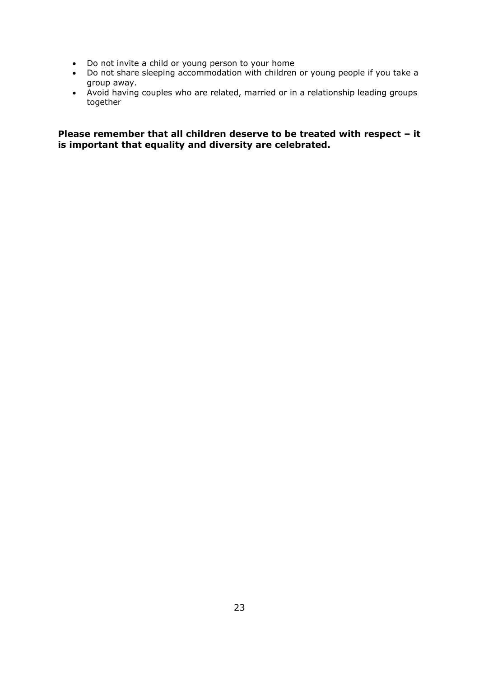- Do not invite a child or young person to your home
- Do not share sleeping accommodation with children or young people if you take a group away.
	- Avoid having couples who are related, married or in a relationship leading groups together

**Please remember that all children deserve to be treated with respect – it is important that equality and diversity are celebrated.**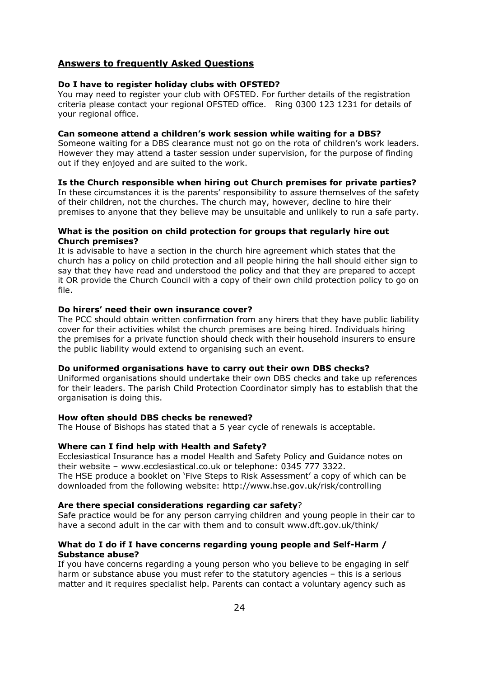## **Answers to frequently Asked Questions**

#### **Do I have to register holiday clubs with OFSTED?**

You may need to register your club with OFSTED. For further details of the registration criteria please contact your regional OFSTED office. Ring 0300 123 1231 for details of your regional office.

#### **Can someone attend a children's work session while waiting for a DBS?**

Someone waiting for a DBS clearance must not go on the rota of children's work leaders. However they may attend a taster session under supervision, for the purpose of finding out if they enjoyed and are suited to the work.

## **Is the Church responsible when hiring out Church premises for private parties?**

In these circumstances it is the parents' responsibility to assure themselves of the safety of their children, not the churches. The church may, however, decline to hire their premises to anyone that they believe may be unsuitable and unlikely to run a safe party.

#### **What is the position on child protection for groups that regularly hire out Church premises?**

It is advisable to have a section in the church hire agreement which states that the church has a policy on child protection and all people hiring the hall should either sign to say that they have read and understood the policy and that they are prepared to accept it OR provide the Church Council with a copy of their own child protection policy to go on file.

#### **Do hirers' need their own insurance cover?**

The PCC should obtain written confirmation from any hirers that they have public liability cover for their activities whilst the church premises are being hired. Individuals hiring the premises for a private function should check with their household insurers to ensure the public liability would extend to organising such an event.

#### **Do uniformed organisations have to carry out their own DBS checks?**

Uniformed organisations should undertake their own DBS checks and take up references for their leaders. The parish Child Protection Coordinator simply has to establish that the organisation is doing this.

#### **How often should DBS checks be renewed?**

The House of Bishops has stated that a 5 year cycle of renewals is acceptable.

#### **Where can I find help with Health and Safety?**

Ecclesiastical Insurance has a model Health and Safety Policy and Guidance notes on their website – www.ecclesiastical.co.uk or telephone: 0345 777 3322.

The HSE produce a booklet on 'Five Steps to Risk Assessment' a copy of which can be downloaded from the following website: http://www.hse.gov.uk/risk/controlling

#### **Are there special considerations regarding car safety**?

Safe practice would be for any person carrying children and young people in their car to have a second adult in the car with them and to consult www.dft.gov.uk/think/

#### **What do I do if I have concerns regarding young people and Self-Harm / Substance abuse?**

If you have concerns regarding a young person who you believe to be engaging in self harm or substance abuse you must refer to the statutory agencies – this is a serious matter and it requires specialist help. Parents can contact a voluntary agency such as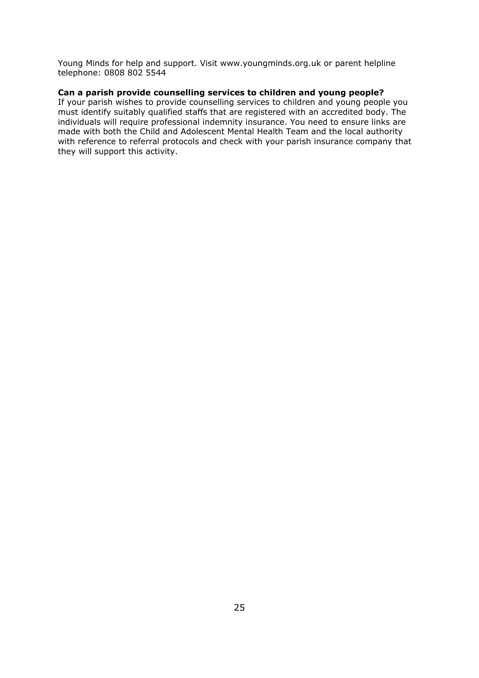Young Minds for help and support. Visit www.youngminds.org.uk or parent helpline telephone: 0808 802 5544

## **Can a parish provide counselling services to children and young people?**

If your parish wishes to provide counselling services to children and young people you must identify suitably qualified staffs that are registered with an accredited body. The individuals will require professional indemnity insurance. You need to ensure links are made with both the Child and Adolescent Mental Health Team and the local authority with reference to referral protocols and check with your parish insurance company that they will support this activity.